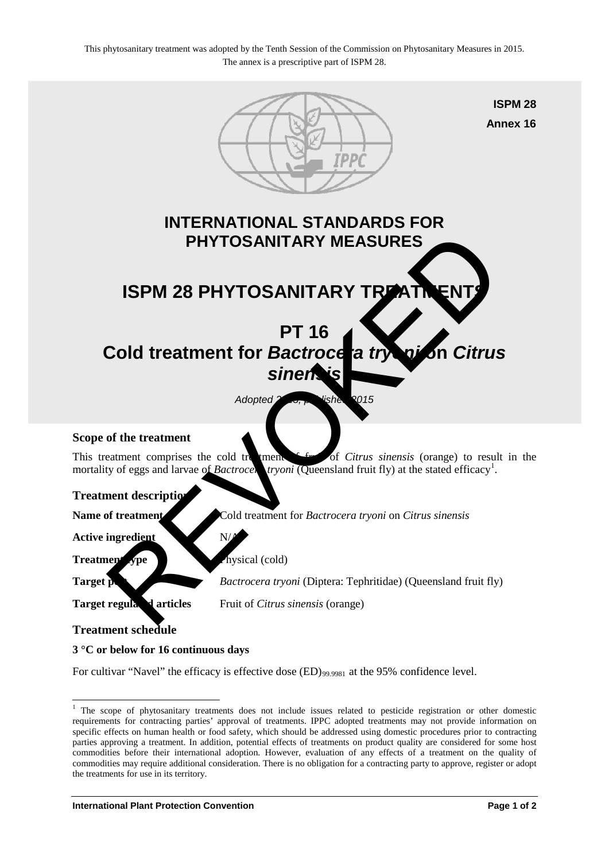

## **3 °C or below for 16 continuous days**

-

For cultivar "Navel" the efficacy is effective dose  $(ED)_{99.9981}$  at the 95% confidence level.

<span id="page-0-0"></span><sup>&</sup>lt;sup>1</sup> The scope of phytosanitary treatments does not include issues related to pesticide registration or other domestic requirements for contracting parties' approval of treatments. IPPC adopted treatments may not provide information on specific effects on human health or food safety, which should be addressed using domestic procedures prior to contracting parties approving a treatment. In addition, potential effects of treatments on product quality are considered for some host commodities before their international adoption. However, evaluation of any effects of a treatment on the quality of commodities may require additional consideration. There is no obligation for a contracting party to approve, register or adopt the treatments for use in its territory.